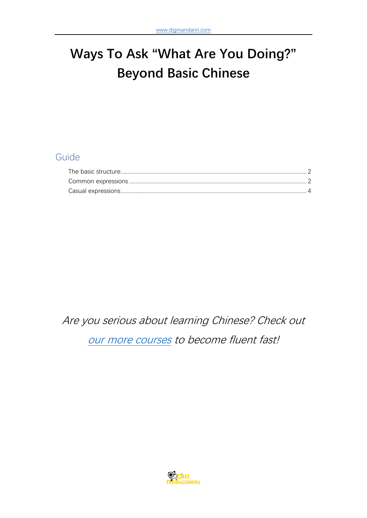# **Ways To Ask "What Are You Doing?" Beyond Basic Chinese**

## Guide

Are you serious about learning Chinese? Check out [our more courses](https://www.digmandarin.com/chinese-language-courses?bbc_pdf) to become fluent fast!

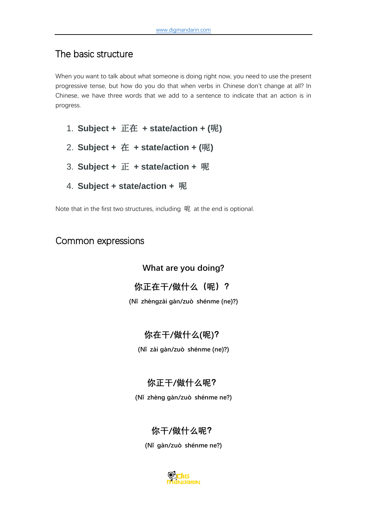# <span id="page-1-0"></span>The basic structure

When you want to talk about what someone is doing right now, you need to use the present progressive tense, but how do you do that when verbs in Chinese don't change at all? In Chinese, we have three words that we add to a sentence to indicate that an action is in progress.

- 1. **Subject +** 正在 **+ state/action + (**呢**)**
- 2. **Subject +** 在 **+ state/action + (**呢**)**
- 3. **Subject +** 正 **+ state/action +** 呢
- 4. **Subject + state/action +** 呢

Note that in the first two structures, including 呢 at the end is optional.

#### <span id="page-1-1"></span>Common expressions

**What are you doing?**

**你正在干/做什么(呢)?**

**(Nǐ zhèngzài gàn/zuò shénme (ne)?)**

#### **你在干/做什么(呢)?**

**(Nǐ zài gàn/zuò shénme (ne)?)**

## **你正干/做什么呢?**

**(Nǐ zhèng gàn/zuò shénme ne?)**

## **你干/做什么呢?**

**(Nǐ gàn/zuò shénme ne?)**

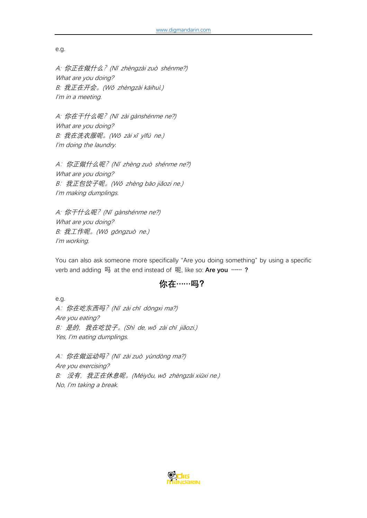e.g.

A: 你正在做什么?(N<sup>ǐ</sup> zhèngzài zuò shénme?) What are you doing? B: 我正在开会。(Wǒ zhèngzài kāihuì.) I'm in a meeting.

A: 你在干什么呢?(N<sup>ǐ</sup> <sup>z</sup>ài gànshénme ne?) What are you doing? B: 我在洗衣服呢。(Wǒ <sup>z</sup>ài x<sup>ǐ</sup> <sup>y</sup>īfú ne.) I'm doing the laundry.

A: 你正做什么呢? (Nǐ zhèng zuò shénme ne?) What are you doing? B: 我正包饺子呢。(Wǒ zhèng bāo jiǎozi ne.) I'm making dumplings.

A: 你干什么呢?(N<sup>ǐ</sup> <sup>g</sup>ànshénme ne?) What are you doing? B: 我工作呢。(Wǒ <sup>g</sup>ōngzuò ne.) I'm working.

You can also ask someone more specifically "Are you doing something" by using a specific verb and adding 吗 at the end instead of 呢, like so: **Are you …… ?**

#### **你在……吗?**

e.g. <sup>A</sup>:你在吃东西吗?(N<sup>ǐ</sup> <sup>z</sup>ài ch<sup>ī</sup> <sup>d</sup>ōngxi ma?) Are you eating? <sup>B</sup>:是的,我在吃饺子。(Sh<sup>ì</sup> de, wǒ <sup>z</sup>ài ch<sup>ī</sup> jiǎozi.) Yes, I'm eating dumplings.

<sup>A</sup>:你在做运动吗?(N<sup>ǐ</sup> <sup>z</sup>ài zuò <sup>y</sup>ùndòng ma?) Are you exercising? B: 没有,我正在休息呢。(Méiyǒu, wǒ zhèngzài xiūxi ne.) No, I'm taking a break.

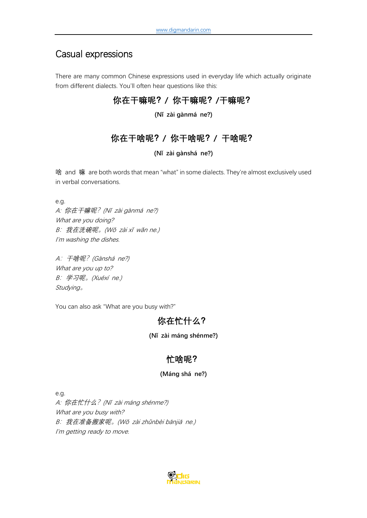# <span id="page-3-0"></span>Casual expressions

There are many common Chinese expressions used in everyday life which actually originate from different dialects. You'll often hear questions like this:

#### **你在干嘛呢?/ 你干嘛呢?/干嘛呢?**

**(Nǐ zài gànmá ne?)**

#### **你在干啥呢?/ 你干啥呢?/ 干啥呢?**

**(Nǐ zài gànshá ne?)**

啥 and 嘛 are both words that mean "what" in some dialects. They're almost exclusively used in verbal conversations.

e.g.

A: 你在干嘛呢?(N<sup>ǐ</sup> <sup>z</sup>ài gànmá ne?) What are you doing? <sup>B</sup>:我在洗碗呢。(Wǒ <sup>z</sup>ài x<sup>ǐ</sup> <sup>w</sup>ǎn ne.) I'm washing the dishes.

<sup>A</sup>:干啥呢?(Gànshá ne?) What are you up to? <sup>B</sup>:学习呢。(Xuéx<sup>í</sup> ne.) Studying。

You can also ask "What are you busy with?"

#### **你在忙什么?**

#### **(Nǐ zài máng shénme?)**

#### **忙啥呢?**

#### **(Máng shá ne?)**

e.g.

A: 你在忙什么?(N<sup>ǐ</sup> <sup>z</sup>ài máng shénme?) What are you busy with? <sup>B</sup>:我在准备搬家呢。(Wǒ <sup>z</sup>ài zhǔnbèi bānji<sup>ā</sup> ne.) I'm getting ready to move.

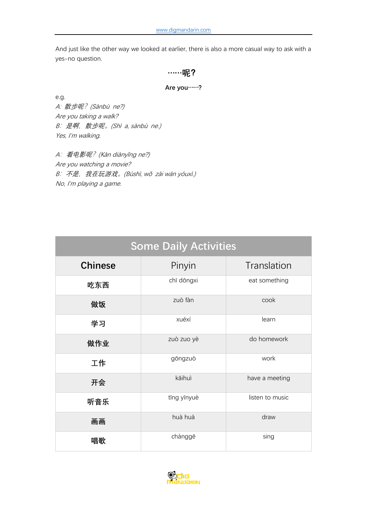And just like the other way we looked at earlier, there is also a more casual way to ask with a yes-no question.

#### **……呢?**

#### **Are you……?**

e.g.

A: 散步呢?(Sànbù ne?) Are you taking a walk? <sup>B</sup>:是啊,散步呢。(Sh<sup>ì</sup> a, sànbù ne.) Yes, I'm walking.

A: 看电影呢? (Kàn diànyǐng ne?) Are you watching a movie? B: 不是, 我在玩游戏。(Bùshì, wǒ zài wán yóuxì.) No, I'm playing a game.

| <b>Some Daily Activities</b> |             |                 |  |
|------------------------------|-------------|-----------------|--|
| <b>Chinese</b>               | Pinyin      | Translation     |  |
| 吃东西                          | chī dōngxi  | eat something   |  |
| 做饭                           | zuò fàn     | cook            |  |
| 学习                           | xuéxí       | learn           |  |
| 做作业                          | zuò zuo yè  | do homework     |  |
| 工作                           | gōngzuò     | work            |  |
| 开会                           | kāihuì      | have a meeting  |  |
| 听音乐                          | tīng yīnyuè | listen to music |  |
| 画画                           | huà huà     | draw            |  |
| 唱歌                           | chànggē     | sing            |  |